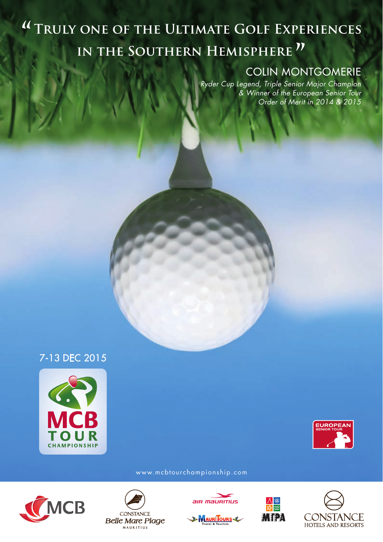# <sup>"</sup> TRULY ONE OF THE ULTIMATE GOLF EXPERIENCES IN THE SOUTHERN HEMISPHERE<sup>"</sup>

### COLIN MONTGOMERIE

*Ryder Cup Legend, Triple Senior Major Champion & Winner of the European Senior Tour Order of Merit in 2014 & 2015*







www.mcbtourchampionship.com







B MAURITOURS



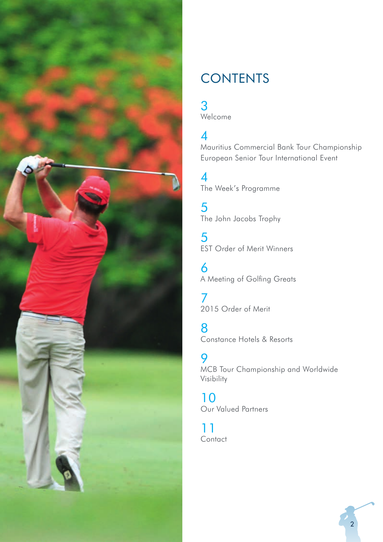

## **CONTENTS**

# 3

Welcome

### 4

Mauritius Commercial Bank Tour Championship European Senior Tour International Event

4 The Week's Programme

5 The John Jacobs Trophy

5 EST Order of Merit Winners

6 A Meeting of Golfing Greats

7 2015 Order of Merit

8 Constance Hotels & Resorts

9 MCB Tour Championship and Worldwide Visibility

10 Our Valued Partners

11 **Contact** 

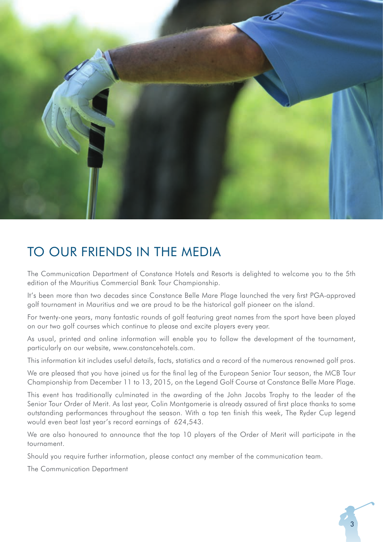

## TO OUR FRIENDS IN THE MEDIA

The Communication Department of Constance Hotels and Resorts is delighted to welcome you to the 5th edition of the Mauritius Commercial Bank Tour Championship.

It's been more than two decades since Constance Belle Mare Plage launched the very first PGA-approved golf tournament in Mauritius and we are proud to be the historical golf pioneer on the island.

For twenty-one years, many fantastic rounds of golf featuring great names from the sport have been played on our two golf courses which continue to please and excite players every year.

As usual, printed and online information will enable you to follow the development of the tournament, particularly on our website, www.constancehotels.com.

This information kit includes useful details, facts, statistics and a record of the numerous renowned golf pros.

We are pleased that you have joined us for the final leg of the European Senior Tour season, the MCB Tour Championship from December 11 to 13, 2015, on the Legend Golf Course at Constance Belle Mare Plage.

This event has traditionally culminated in the awarding of the John Jacobs Trophy to the leader of the Senior Tour Order of Merit. As last year, Colin Montgomerie is already assured of first place thanks to some outstanding performances throughout the season. With a top ten finish this week, The Ryder Cup legend would even beat last year's record earnings of 624,543.

We are also honoured to announce that the top 10 players of the Order of Merit will participate in the tournament.

Should you require further information, please contact any member of the communication team.

The Communication Department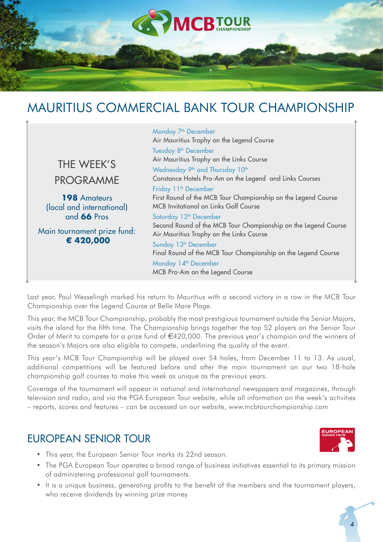

## MAURITIUS COMMERCIAL BANK TOUR CHAMPIONSHIP



Last year, Paul Wesselingh marked his return to Mauritius with a second victory in a row in the MCB Tour Championship over the Legend Course at Belle Mare Plage.

This year, the MCB Tour Championship, probably the most prestigious tournament outside the Senior Majors, visits the island for the fifth time. The Championship brings together the top 52 players on the Senior Tour Order of Merit to compete for a prize fund of €420,000. The previous year's champion and the winners of the season's Majors are also eligible to compete, underlining the quality of the event.

This year's MCB Tour Championship will be played over 54 holes, from December 11 to 13. As usual, additional competitions will be featured before and after the main tournament on our two 18-hole championship golf courses to make this week as unique as the previous years.

Coverage of the tournament will appear in national and international newspapers and magazines, through television and radio, and via the PGA European Tour website, while all information on the week's activities – reports, scores and features – can be accessed on our website, www.mcbtourchampionship.com

### EUROPEAN SENIOR TOUR

- This year, the European Senior Tour marks its 22nd season.
- The PGA European Tour operates a broad range of business initiatives essential to its primary mission of administering professional golf tournaments.
- It is a unique business, generating profits to the benefit of the members and the tournament players, who receive dividends by winning prize money.



4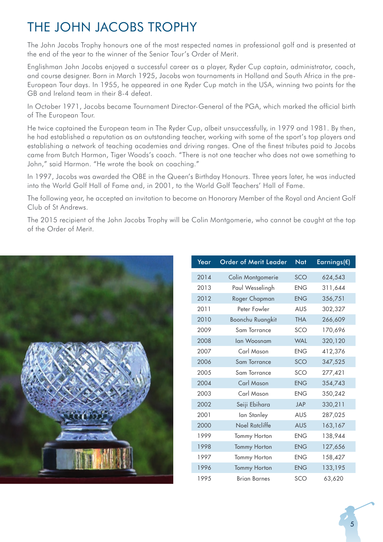## THE JOHN JACOBS TROPHY

The John Jacobs Trophy honours one of the most respected names in professional golf and is presented at the end of the year to the winner of the Senior Tour's Order of Merit.

Englishman John Jacobs enjoyed a successful career as a player, Ryder Cup captain, administrator, coach, and course designer. Born in March 1925, Jacobs won tournaments in Holland and South Africa in the pre-European Tour days. In 1955, he appeared in one Ryder Cup match in the USA, winning two points for the GB and Ireland team in their 8-4 defeat.

In October 1971, Jacobs became Tournament Director-General of the PGA, which marked the official birth of The European Tour.

He twice captained the European team in The Ryder Cup, albeit unsuccessfully, in 1979 and 1981. By then, he had established a reputation as an outstanding teacher, working with some of the sport's top players and establishing a network of teaching academies and driving ranges. One of the finest tributes paid to Jacobs came from Butch Harmon, Tiger Woods's coach. "There is not one teacher who does not owe something to John," said Harmon. "He wrote the book on coaching."

In 1997, Jacobs was awarded the OBE in the Queen's Birthday Honours. Three years later, he was inducted into the World Golf Hall of Fame and, in 2001, to the World Golf Teachers' Hall of Fame.

The following year, he accepted an invitation to become an Honorary Member of the Royal and Ancient Golf Club of St Andrews.

The 2015 recipient of the John Jacobs Trophy will be Colin Montgomerie, who cannot be caught at the top of the Order of Merit.



| Year | <b>Order of Merit Leader</b> | Nat        | Earnings( $\varepsilon$ ) |
|------|------------------------------|------------|---------------------------|
| 2014 | Colin Montgomerie            | <b>SCO</b> | 624,543                   |
| 2013 | Paul Wesselingh              | <b>ENG</b> | 311,644                   |
| 2012 | Roger Chapman                | <b>ENG</b> | 356,751                   |
| 2011 | Peter Fowler                 | <b>AUS</b> | 302,327                   |
| 2010 | Boonchu Ruangkit             | <b>THA</b> | 266,609                   |
| 2009 | Sam Torrance                 | SCO        | 170,696                   |
| 2008 | lan Woosnam                  | <b>WAL</b> | 320,120                   |
| 2007 | Carl Mason                   | <b>ENG</b> | 412,376                   |
| 2006 | Sam Torrance                 | SCO        | 347,525                   |
| 2005 | Sam Torrance                 | SCO        | 277,421                   |
| 2004 | Carl Mason                   | <b>ENG</b> | 354,743                   |
| 2003 | Carl Mason                   | <b>ENG</b> | 350,242                   |
| 2002 | Seiji Ebihara                | <b>JAP</b> | 330,211                   |
| 2001 | lan Stanley                  | <b>AUS</b> | 287,025                   |
| 2000 | Noel Ratcliffe               | <b>AUS</b> | 163,167                   |
| 1999 | Tommy Horton                 | <b>ENG</b> | 138,944                   |
| 1998 | Tommy Horton                 | <b>ENG</b> | 127,656                   |
| 1997 | Tommy Horton                 | <b>ENG</b> | 158,427                   |
| 1996 | <b>Tommy Horton</b>          | <b>ENG</b> | 133,195                   |
| 1995 | <b>Brian Barnes</b>          | SCO        | 63,620                    |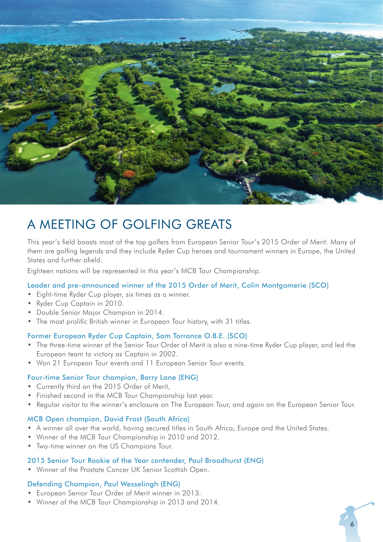

## A MEETING OF GOLFING GREATS

This year's field boasts most of the top golfers from European Senior Tour's 2015 Order of Merit. Many of them are golfing legends and they include Ryder Cup heroes and tournament winners in Europe, the United States and further afield.

Eighteen nations will be represented in this year's MCB Tour Championship.

#### Leader and pre-announced winner of the 2015 Order of Merit, Colin Montgomerie (SCO)

- Eight-time Ryder Cup player, six times as a winner.
- Ryder Cup Captain in 2010.
- Double Senior Major Champion in 2014.
- The most prolific British winner in European Tour history, with 31 titles.

#### Former European Ryder Cup Captain, Sam Torrance O.B.E. (SCO)

- The three-time winner of the Senior Tour Order of Merit is also a nine-time Ryder Cup player, and led the European team to victory as Captain in 2002.
- Won 21 European Tour events and 11 European Senior Tour events.

#### Four-time Senior Tour champion, Barry Lane (ENG)

- Currently third on the 2015 Order of Merit,
- Finished second in the MCB Tour Championship last year.
- Regular visitor to the winner's enclosure on The European Tour, and again on the European Senior Tour.

#### MCB Open champion, David Frost (South Africa)

- A winner all over the world, having secured titles in South Africa, Europe and the United States.
- Winner of the MCB Tour Championship in 2010 and 2012.
- Two-time winner on the US Champions Tour.

#### 2015 Senior Tour Rookie of the Year contender, Paul Broadhurst (ENG)

• Winner of the Prostate Cancer UK Senior Scottish Open.

#### Defending Champion, Paul Wesselingh (ENG)

- European Senior Tour Order of Merit winner in 2013.
- Winner of the MCB Tour Championship in 2013 and 2014.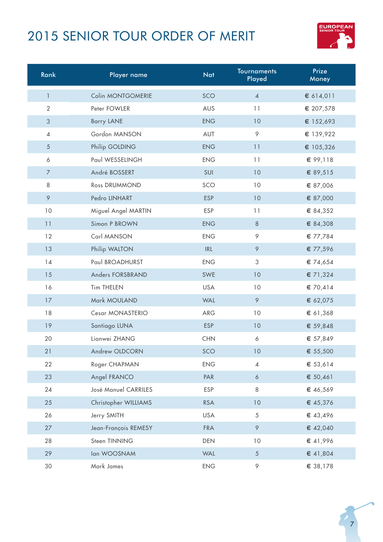## 2015 SENIOR TOUR ORDER OF MERIT



| Rank           | Player name          | <b>Nat</b> | <b>Tournaments</b><br>Played | Prize<br>Money |
|----------------|----------------------|------------|------------------------------|----------------|
| $\mathbf{1}$   | Colin MONTGOMERIE    | SCO        | $\overline{4}$               | € 614,011      |
| $\overline{2}$ | Peter FOWLER         | AUS        | 11                           | € 207,578      |
| $\mathfrak{S}$ | <b>Barry LANE</b>    | <b>ENG</b> | 10                           | € 152,693      |
| $\overline{4}$ | Gordon MANSON        | AUT        | 9                            | € 139,922      |
| 5              | Philip GOLDING       | <b>ENG</b> | 11                           | € 105,326      |
| 6              | Paul WESSELINGH      | <b>ENG</b> | 11                           | € 99,118       |
| $\overline{7}$ | André BOSSERT        | SUI        | 10                           | € 89,515       |
| 8              | Ross DRUMMOND        | SCO        | 10                           | € 87,006       |
| $\circ$        | Pedro LINHART        | <b>ESP</b> | 10                           | € 87,000       |
| 10             | Miguel Angel MARTIN  | ESP        | 11                           | € 84,352       |
| 11             | Simon P BROWN        | <b>ENG</b> | $\,8\,$                      | € 84,308       |
| 12             | Carl MANSON          | <b>ENG</b> | 9                            | € 77,784       |
| 13             | Philip WALTON        | IRL        | 9                            | € 77,596       |
| 14             | Paul BROADHURST      | <b>ENG</b> | 3                            | € 74,654       |
| 15             | Anders FORSBRAND     | SWE        | 10                           | € 71,324       |
| 16             | Tim THELEN           | <b>USA</b> | 10                           | € 70,414       |
| 17             | Mark MOULAND         | <b>WAL</b> | $\circ$                      | € 62,075       |
| 18             | Cesar MONASTERIO     | ARG        | 10                           | € 61,368       |
| 19             | Santiago LUNA        | ESP        | 10                           | € 59,848       |
| 20             | Lianwei ZHANG        | <b>CHN</b> | 6                            | € 57,849       |
| 21             | Andrew OLDCORN       | SCO        | 10                           | € 55,500       |
| 22             | Roger CHAPMAN        | <b>ENG</b> | $\overline{4}$               | € 53,614       |
| 23             | Angel FRANCO         | PAR        | 6                            | € 50,461       |
| 24             | José Manuel CARRILES | <b>ESP</b> | 8                            | € 46,569       |
| 25             | Christopher WILLIAMS | <b>RSA</b> | 10                           | € 45,376       |
| 26             | Jerry SMITH          | <b>USA</b> | 5                            | € 43,496       |
| 27             | Jean-François REMESY | <b>FRA</b> | 9                            | € 42,040       |
| 28             | Steen TINNING        | DEN        | 10                           | € 41,996       |
| 29             | lan WOOSNAM          | <b>WAL</b> | $\sqrt{5}$                   | € 41,804       |
| 30             | Mark James           | <b>ENG</b> | 9                            | € 38,178       |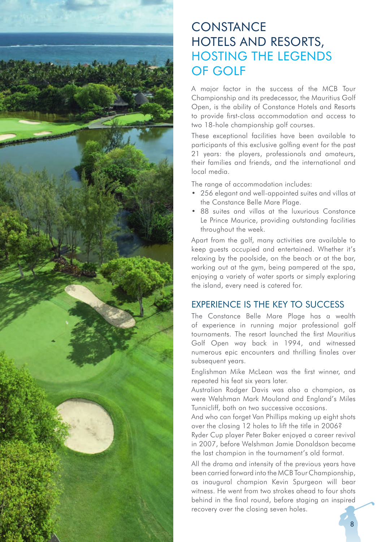

### **CONSTANCE** HOTELS AND RESORTS, HOSTING THE LEGENDS OF GOLF

A major factor in the success of the MCB Tour Championship and its predecessor, the Mauritius Golf Open, is the ability of Constance Hotels and Resorts to provide first-class accommodation and access to two 18-hole championship golf courses.

These exceptional facilities have been available to participants of this exclusive golfing event for the past 21 years: the players, professionals and amateurs, their families and friends, and the international and local media.

The range of accommodation includes:

- 256 elegant and well-appointed suites and villas at the Constance Belle Mare Plage.
- 88 suites and villas at the luxurious Constance Le Prince Maurice, providing outstanding facilities throughout the week.

Apart from the golf, many activities are available to keep guests occupied and entertained. Whether it's relaxing by the poolside, on the beach or at the bar, working out at the gym, being pampered at the spa, enjoying a variety of water sports or simply exploring the island, every need is catered for.

#### EXPERIENCE IS THE KEY TO SUCCESS

The Constance Belle Mare Plage has a wealth of experience in running major professional golf tournaments. The resort launched the first Mauritius Golf Open way back in 1994, and witnessed numerous epic encounters and thrilling finales over subsequent years.

Englishman Mike McLean was the first winner, and repeated his feat six years later.

Australian Rodger Davis was also a champion, as were Welshman Mark Mouland and England's Miles Tunnicliff, both on two successive occasions.

And who can forget Van Phillips making up eight shots over the closing 12 holes to lift the title in 2006?

Ryder Cup player Peter Baker enjoyed a career revival in 2007, before Welshman Jamie Donaldson became the last champion in the tournament's old format.

All the drama and intensity of the previous years have been carried forward into the MCB Tour Championship, as inaugural champion Kevin Spurgeon will bear witness. He went from two strokes ahead to four shots behind in the final round, before staging an inspired recovery over the closing seven holes.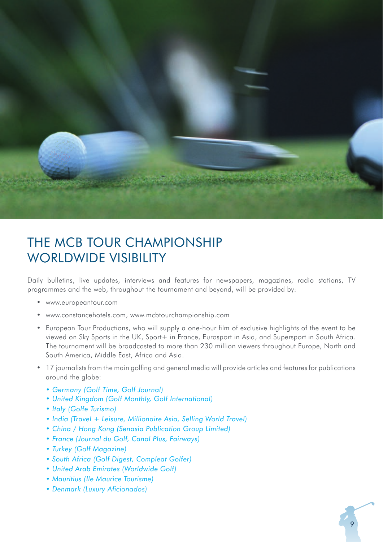

## THE MCB TOUR CHAMPIONSHIP WORLDWIDE VISIBILITY

Daily bulletins, live updates, interviews and features for newspapers, magazines, radio stations, TV programmes and the web, throughout the tournament and beyond, will be provided by:

- www.europeantour.com
- www.constancehotels.com, www.mcbtourchampionship.com
- European Tour Productions, who will supply a one-hour film of exclusive highlights of the event to be viewed on Sky Sports in the UK, Sport+ in France, Eurosport in Asia, and Supersport in South Africa. The tournament will be broadcasted to more than 230 million viewers throughout Europe, North and South America, Middle East, Africa and Asia.
- 17 journalists from the main golfing and general media will provide articles and features for publications around the globe:
	- *Germany (Golf Time, Golf Journal)*
	- *United Kingdom (Golf Monthly, Golf International)*
	- *Italy (Golfe Turismo)*
	- *India (Travel + Leisure, Millionaire Asia, Selling World Travel)*
	- *China / Hong Kong (Senasia Publication Group Limited)*
	- *France (Journal du Golf, Canal Plus, Fairways)*
	- *Turkey (Golf Magazine)*
	- *South Africa (Golf Digest, Compleat Golfer)*
	- *United Arab Emirates (Worldwide Golf)*
	- *Mauritius (Ile Maurice Tourisme)*
	- Denmark (Luxury Aficionados)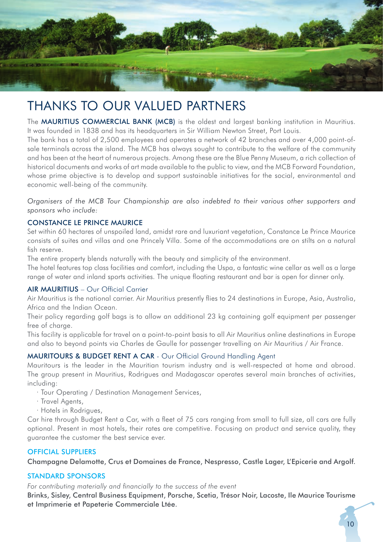

## THANKS TO OUR VALUED PARTNERS

The MAURITIUS COMMERCIAL BANK (MCB) is the oldest and largest banking institution in Mauritius. It was founded in 1838 and has its headquarters in Sir William Newton Street, Port Louis.

The bank has a total of 2,500 employees and operates a network of 42 branches and over 4,000 point-ofsale terminals across the island. The MCB has always sought to contribute to the welfare of the community and has been at the heart of numerous projects. Among these are the Blue Penny Museum, a rich collection of historical documents and works of art made available to the public to view, and the MCB Forward Foundation, whose prime objective is to develop and support sustainable initiatives for the social, environmental and economic well-being of the community.

*Organisers of the MCB Tour Championship are also indebted to their various other supporters and sponsors who include:*

#### CONSTANCE LE PRINCE MAURICE

Set within 60 hectares of unspoiled land, amidst rare and luxuriant vegetation, Constance Le Prince Maurice consists of suites and villas and one Princely Villa. Some of the accommodations are on stilts on a natural fish reserve.

The entire property blends naturally with the beauty and simplicity of the environment.

The hotel features top class facilities and comfort, including the Uspa, a fantastic wine cellar as well as a large range of water and inland sports activities. The unique floating restaurant and bar is open for dinner only.

#### AIR MAURITIUS - Our Official Carrier

Air Mauritius is the national carrier. Air Mauritius presently flies to 24 destinations in Europe, Asia, Australia, Africa and the Indian Ocean.

Their policy regarding golf bags is to allow an additional 23 kg containing golf equipment per passenger free of charge.

This facility is applicable for travel on a point-to-point basis to all Air Mauritius online destinations in Europe and also to beyond points via Charles de Gaulle for passenger travelling on Air Mauritius / Air France.

#### MAURITOURS & BUDGET RENT A CAR - Our Official Ground Handling Agent

Mauritours is the leader in the Mauritian tourism industry and is well-respected at home and abroad. The group present in Mauritius, Rodrigues and Madagascar operates several main branches of activities, including:

- · Tour Operating / Destination Management Services,
- · Travel Agents,
- · Hotels in Rodrigues,

Car hire through Budget Rent a Car, with a fleet of 75 cars ranging from small to full size, all cars are fully optional. Present in most hotels, their rates are competitive. Focusing on product and service quality, they guarantee the customer the best service ever.

#### OFFICIAL SUPPLIERS

Champagne Delamotte, Crus et Domaines de France, Nespresso, Castle Lager, L'Epicerie and Argolf.

#### STANDARD SPONSORS

For contributing materially and financially to the success of the event

Brinks, Sisley, Central Business Equipment, Porsche, Scetia, Trésor Noir, Lacoste, Ile Maurice Tourisme et Imprimerie et Papeterie Commerciale Ltée.